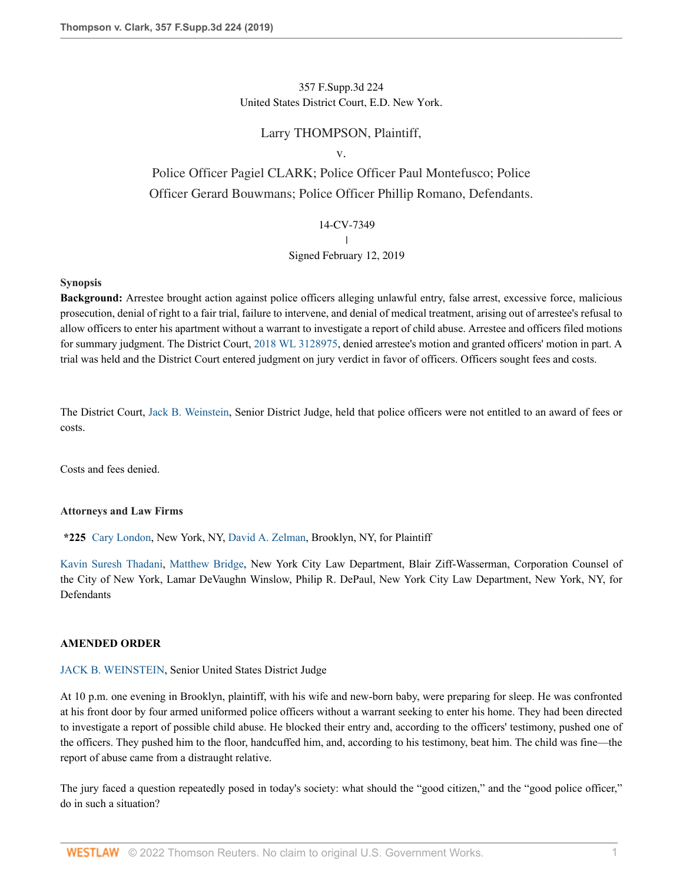# 357 F.Supp.3d 224 United States District Court, E.D. New York.

# Larry THOMPSON, Plaintiff,

#### v.

# Police Officer Pagiel CLARK; Police Officer Paul Montefusco; Police Officer Gerard Bouwmans; Police Officer Phillip Romano, Defendants.

#### 14-CV-7349

 $\overline{\phantom{a}}$ |

## Signed February 12, 2019

#### **Synopsis**

**Background:** Arrestee brought action against police officers alleging unlawful entry, false arrest, excessive force, malicious prosecution, denial of right to a fair trial, failure to intervene, and denial of medical treatment, arising out of arrestee's refusal to allow officers to enter his apartment without a warrant to investigate a report of child abuse. Arrestee and officers filed motions for summary judgment. The District Court, [2018 WL 3128975,](http://www.westlaw.com/Link/Document/FullText?findType=Y&serNum=2044821220&pubNum=0000999&originatingDoc=Ie498f8002fbf11e9bc469b767245e66a&refType=RP&originationContext=document&vr=3.0&rs=cblt1.0&transitionType=DocumentItem&contextData=(sc.History*oc.Keycite)) denied arrestee's motion and granted officers' motion in part. A trial was held and the District Court entered judgment on jury verdict in favor of officers. Officers sought fees and costs.

The District Court, [Jack B. Weinstein](http://www.westlaw.com/Link/Document/FullText?findType=h&pubNum=176284&cite=0254004301&originatingDoc=Ie498f8002fbf11e9bc469b767245e66a&refType=RQ&originationContext=document&vr=3.0&rs=cblt1.0&transitionType=DocumentItem&contextData=(sc.History*oc.Keycite)), Senior District Judge, held that police officers were not entitled to an award of fees or costs.

Costs and fees denied.

## **Attorneys and Law Firms**

**\*225** [Cary London,](http://www.westlaw.com/Link/Document/FullText?findType=h&pubNum=176284&cite=0486666101&originatingDoc=Ie498f8002fbf11e9bc469b767245e66a&refType=RQ&originationContext=document&vr=3.0&rs=cblt1.0&transitionType=DocumentItem&contextData=(sc.History*oc.Keycite)) New York, NY, [David A. Zelman](http://www.westlaw.com/Link/Document/FullText?findType=h&pubNum=176284&cite=0342231001&originatingDoc=Ie498f8002fbf11e9bc469b767245e66a&refType=RQ&originationContext=document&vr=3.0&rs=cblt1.0&transitionType=DocumentItem&contextData=(sc.History*oc.Keycite)), Brooklyn, NY, for Plaintiff

[Kavin Suresh Thadani,](http://www.westlaw.com/Link/Document/FullText?findType=h&pubNum=176284&cite=0440789501&originatingDoc=Ie498f8002fbf11e9bc469b767245e66a&refType=RQ&originationContext=document&vr=3.0&rs=cblt1.0&transitionType=DocumentItem&contextData=(sc.History*oc.Keycite)) [Matthew Bridge,](http://www.westlaw.com/Link/Document/FullText?findType=h&pubNum=176284&cite=0511409701&originatingDoc=Ie498f8002fbf11e9bc469b767245e66a&refType=RQ&originationContext=document&vr=3.0&rs=cblt1.0&transitionType=DocumentItem&contextData=(sc.History*oc.Keycite)) New York City Law Department, Blair Ziff-Wasserman, Corporation Counsel of the City of New York, Lamar DeVaughn Winslow, Philip R. DePaul, New York City Law Department, New York, NY, for Defendants

## **AMENDED ORDER**

#### [JACK B. WEINSTEIN,](http://www.westlaw.com/Link/Document/FullText?findType=h&pubNum=176284&cite=0254004301&originatingDoc=Ie498f8002fbf11e9bc469b767245e66a&refType=RQ&originationContext=document&vr=3.0&rs=cblt1.0&transitionType=DocumentItem&contextData=(sc.History*oc.Keycite)) Senior United States District Judge

At 10 p.m. one evening in Brooklyn, plaintiff, with his wife and new-born baby, were preparing for sleep. He was confronted at his front door by four armed uniformed police officers without a warrant seeking to enter his home. They had been directed to investigate a report of possible child abuse. He blocked their entry and, according to the officers' testimony, pushed one of the officers. They pushed him to the floor, handcuffed him, and, according to his testimony, beat him. The child was fine—the report of abuse came from a distraught relative.

The jury faced a question repeatedly posed in today's society: what should the "good citizen," and the "good police officer," do in such a situation?